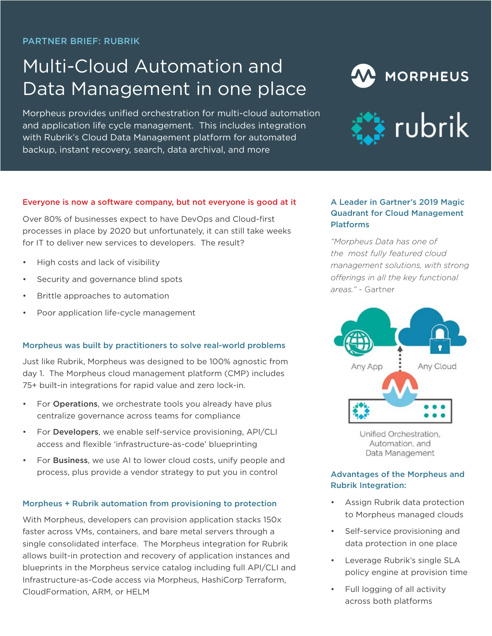PARTNER BRIEF: RUBRIK

# Multi-Cloud Automation and Data Management in one place

Morpheus provides unified orchestration for multi-cloud automation and application life cycle management. This includes integration with Rubrik's Cloud Data Management platform for automated backup, instant recovery, search, data archival, and more





#### Everyone is now a software company, but not everyone is good at it

Over 80% of businesses expect to have DevOps and Cloud-first processes in place by 2020 but unfortunately, it can still take weeks for IT to deliver new services to developers. The result?

- High costs and lack of visibility
- Security and governance blind spots
- Brittle approaches to automation
- Poor application life-cycle management

#### Morpheus was built by practitioners to solve real-world problems

Just like Rubrik, Morpheus was designed to be 100% agnostic from day 1. The Morpheus cloud management platform (CMP) includes 75+ built-in integrations for rapid value and zero lock-in.

- For Operations, we orchestrate tools you already have plus centralize governance across teams for compliance
- For Developers, we enable self-service provisioning, API/CLI access and flexible 'infrastructure-as-code' blueprinting
- For **Business**, we use AI to lower cloud costs, unify people and process, plus provide a vendor strategy to put you in control

## Morpheus + Rubrik automation from provisioning to protection

With Morpheus, developers can provision application stacks 150x faster across VMs, containers, and bare metal servers through a single consolidated interface. The Morpheus integration for Rubrik allows built-in protection and recovery of application instances and blueprints in the Morpheus service catalog including full API/CLI and Infrastructure-as-Code access via Morpheus, HashiCorp Terraform, CloudFormation, ARM, or HELM

# A Leader in Gartner's 2019 Magic Quadrant for Cloud Management Platforms

*"Morpheus Data has one of the most fully featured cloud management solutions, with strong offerings in all the key functional areas."* - Gartner



Unified Orchestration, Automation, and Data Management

# Advantages of the Morpheus and Rubrik Integration:

- Assign Rubrik data protection to Morpheus managed clouds
- Self-service provisioning and data protection in one place
- Leverage Rubrik's single SLA policy engine at provision time
- Full logging of all activity across both platforms